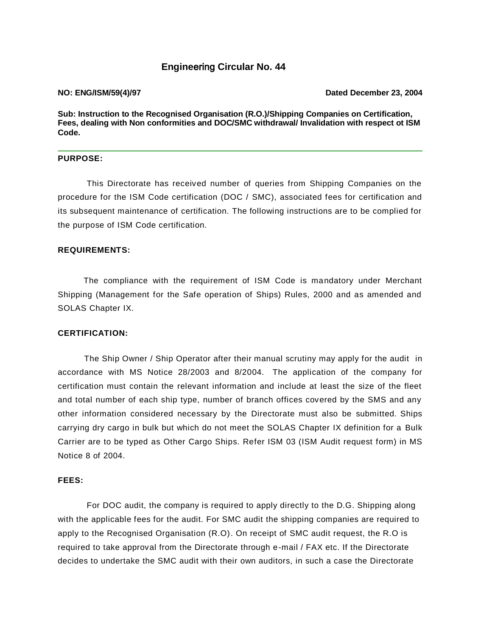### **Engine**ering **Circular No. 44**

**NO: ENG/ISM/59(4)/97 Dated December 23, 2004**

**Sub: Instruction to the Recognised Organisation (R.O.)/Shipping Companies on Certification, Fees, dealing with Non conformities and DOC/SMC withdrawal/ Invalidation with respect ot ISM Code.**

#### **PURPOSE:**

This Directorate has received number of queries from Shipping Companies on the procedure for the ISM Code certification (DOC / SMC), associated fees for certification and its subsequent maintenance of certification. The following instructions are to be complied for the purpose of ISM Code certification.

#### **REQUIREMENTS:**

 The compliance with the requirement of ISM Code is mandatory under Merchant Shipping (Management for the Safe operation of Ships) Rules, 2000 and as amended and SOLAS Chapter IX.

#### **CERTIFICATION:**

 The Ship Owner / Ship Operator after their manual scrutiny may apply for the audit in accordance with MS Notice 28/2003 and 8/2004. The application of the company for certification must contain the relevant information and include at least the size of the fleet and total number of each ship type, number of branch offices covered by the SMS and any other information considered necessary by the Directorate must also be submitted. Ships carrying dry cargo in bulk but which do not meet the SOLAS Chapter IX definition for a Bulk Carrier are to be typed as Other Cargo Ships. Refer ISM 03 (ISM Audit request form) in MS Notice 8 of 2004.

#### **FEES:**

For DOC audit, the company is required to apply directly to the D.G. Shipping along with the applicable fees for the audit. For SMC audit the shipping companies are required to apply to the Recognised Organisation (R.O). On receipt of SMC audit request, the R.O is required to take approval from the Directorate through e-mail / FAX etc. If the Directorate decides to undertake the SMC audit with their own auditors, in such a case the Directorate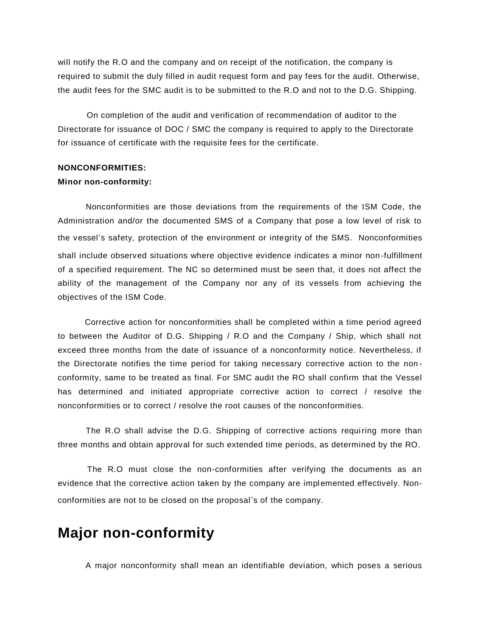will notify the R.O and the company and on receipt of the notification, the company is required to submit the duly filled in audit request form and pay fees for the audit. Otherwise, the audit fees for the SMC audit is to be submitted to the R.O and not to the D.G. Shipping.

On completion of the audit and verification of recommendation of auditor to the Directorate for issuance of DOC / SMC the company is required to apply to the Directorate for issuance of certificate with the requisite fees for the certificate.

#### **NONCONFORMITIES:**

#### **Minor non-conformity:**

 Nonconformities are those deviations from the requirements of the ISM Code, the Administration and/or the documented SMS of a Company that pose a low level of risk to the vessel's safety, protection of the environment or integrity of the SMS. Nonconformities shall include observed situations where objective evidence indicates a minor non-fulfillment of a specified requirement. The NC so determined must be seen that, it does not affect the ability of the management of the Company nor any of its vessels from achieving the objectives of the ISM Code.

 Corrective action for nonconformities shall be completed within a time period agreed to between the Auditor of D.G. Shipping / R.O and the Company / Ship, which shall not exceed three months from the date of issuance of a nonconformity notice. Nevertheless, if the Directorate notifies the time period for taking necessary corrective action to the non conformity, same to be treated as final. For SMC audit the RO shall confirm that the Vessel has determined and initiated appropriate corrective action to correct / resolve the nonconformities or to correct / resolve the root causes of the nonconformities.

 The R.O shall advise the D.G. Shipping of corrective actions requiring more than three months and obtain approval for such extended time periods, as determined by the RO.

 The R.O must close the non-conformities after verifying the documents as an evidence that the corrective action taken by the company are implemented effectively. Nonconformities are not to be closed on the proposal 's of the company.

### **Major non-conformity**

A major nonconformity shall mean an identifiable deviation, which poses a serious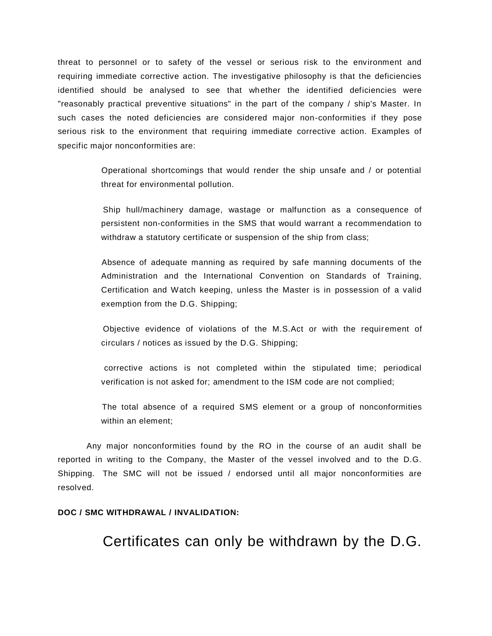threat to personnel or to safety of the vessel or serious risk to the environment and requiring immediate corrective action. The investigative philosophy is that the deficiencies identified should be analysed to see that whether the identified deficiencies were "reasonably practical preventive situations" in the part of the company / ship's Master. In such cases the noted deficiencies are considered major non-conformities if they pose serious risk to the environment that requiring immediate corrective action. Examples of specific major nonconformities are:

> Operational shortcomings that would render the ship unsafe and / or potential threat for environmental pollution.

> Ship hull/machinery damage, wastage or malfunction as a consequence of persistent non-conformities in the SMS that would warrant a recommendation to withdraw a statutory certificate or suspension of the ship from class;

> Absence of adequate manning as required by safe manning documents of the Administration and the International Convention on Standards of Training, Certification and Watch keeping, unless the Master is in possession of a valid exemption from the D.G. Shipping;

> Objective evidence of violations of the M.S.Act or with the requirement of circulars / notices as issued by the D.G. Shipping;

> corrective actions is not completed within the stipulated time; periodical verification is not asked for; amendment to the ISM code are not complied;

> The total absence of a required SMS element or a group of nonconformities within an element;

 Any major nonconformities found by the RO in the course of an audit shall be reported in writing to the Company, the Master of the vessel involved and to the D.G. Shipping. The SMC will not be issued / endorsed until all major nonconformities are resolved.

#### **DOC / SMC WITHDRAWAL / INVALIDATION:**

## Certificates can only be withdrawn by the D.G.